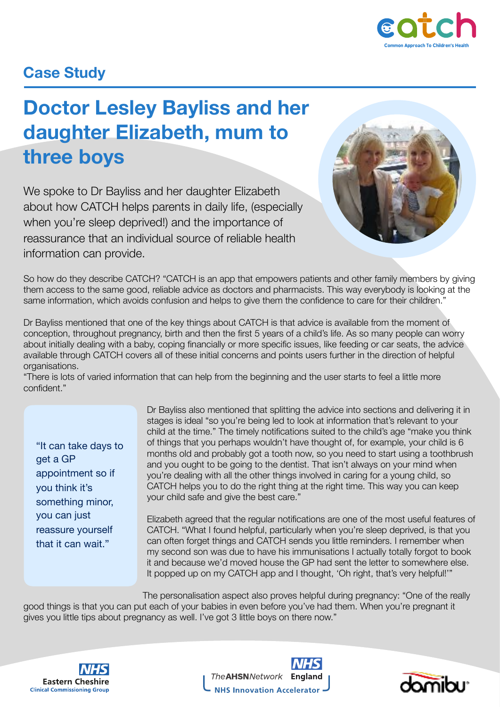

## **Case Study**

## **Doctor Lesley Bayliss and her daughter Elizabeth, mum to three boys**

We spoke to Dr Bayliss and her daughter Elizabeth about how CATCH helps parents in daily life, (especially when you're sleep deprived!) and the importance of reassurance that an individual source of reliable health information can provide.



So how do they describe CATCH? "CATCH is an app that empowers patients and other family members by giving them access to the same good, reliable advice as doctors and pharmacists. This way everybody is looking at the same information, which avoids confusion and helps to give them the confidence to care for their children."

Dr Bayliss mentioned that one of the key things about CATCH is that advice is available from the moment of conception, throughout pregnancy, birth and then the first 5 years of a child's life. As so many people can worry about initially dealing with a baby, coping financially or more specific issues, like feeding or car seats, the advice available through CATCH covers all of these initial concerns and points users further in the direction of helpful organisations.

"There is lots of varied information that can help from the beginning and the user starts to feel a little more confident."

"It can take days to get a GP appointment so if you think it's something minor, you can just reassure yourself that it can wait."

Dr Bayliss also mentioned that splitting the advice into sections and delivering it in stages is ideal "so you're being led to look at information that's relevant to your child at the time." The timely notifications suited to the child's age "make you think of things that you perhaps wouldn't have thought of, for example, your child is 6 months old and probably got a tooth now, so you need to start using a toothbrush and you ought to be going to the dentist. That isn't always on your mind when you're dealing with all the other things involved in caring for a young child, so CATCH helps you to do the right thing at the right time. This way you can keep your child safe and give the best care."

Elizabeth agreed that the regular notifications are one of the most useful features of CATCH. "What I found helpful, particularly when you're sleep deprived, is that you can often forget things and CATCH sends you little reminders. I remember when my second son was due to have his immunisations I actually totally forgot to book it and because we'd moved house the GP had sent the letter to somewhere else. It popped up on my CATCH app and I thought, 'Oh right, that's very helpful!'"

The personalisation aspect also proves helpful during pregnancy: "One of the really good things is that you can put each of your babies in even before you've had them. When you're pregnant it gives you little tips about pregnancy as well. I've got 3 little boys on there now."